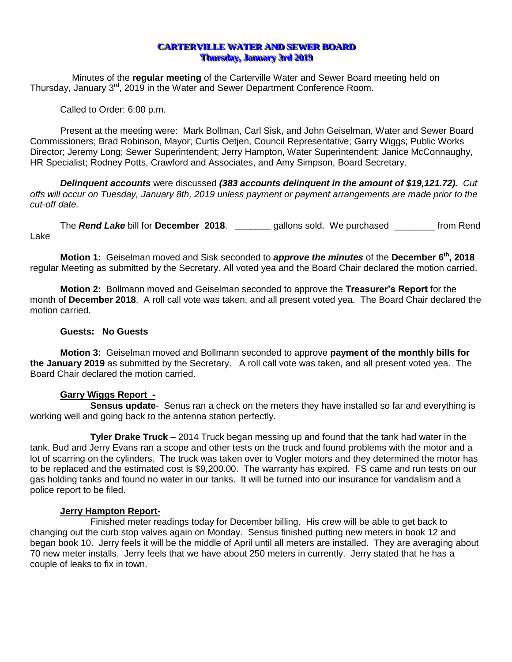# **CARTERVILLE WATER AND SEWER BOARD Thursday, January 3rd 2019**

Minutes of the **regular meeting** of the Carterville Water and Sewer Board meeting held on Thursday, January 3<sup>rd</sup>, 2019 in the Water and Sewer Department Conference Room.

Called to Order: 6:00 p.m.

Present at the meeting were: Mark Bollman, Carl Sisk, and John Geiselman, Water and Sewer Board Commissioners; Brad Robinson, Mayor; Curtis Oetjen, Council Representative; Garry Wiggs; Public Works Director; Jeremy Long; Sewer Superintendent; Jerry Hampton, Water Superintendent; Janice McConnaughy, HR Specialist; Rodney Potts, Crawford and Associates, and Amy Simpson, Board Secretary.

*Delinquent accounts* were discussed *(383 accounts delinquent in the amount of \$19,121.72). Cut offs will occur on Tuesday, January 8th, 2019 unless payment or payment arrangements are made prior to the cut-off date.*

The *Rend Lake* bill for **December 2018**. **\_\_\_\_\_\_\_** gallons sold. We purchased \_\_\_\_\_\_\_\_ from Rend Lake

**Motion 1:** Geiselman moved and Sisk seconded to *approve the minutes* of the **December 6th , 2018**  regular Meeting as submitted by the Secretary. All voted yea and the Board Chair declared the motion carried.

**Motion 2:** Bollmann moved and Geiselman seconded to approve the **Treasurer's Report** for the month of **December 2018**. A roll call vote was taken, and all present voted yea. The Board Chair declared the motion carried.

#### **Guests: No Guests**

**Motion 3:** Geiselman moved and Bollmann seconded to approve **payment of the monthly bills for the January 2019** as submitted by the Secretary. A roll call vote was taken, and all present voted yea. The Board Chair declared the motion carried.

## **Garry Wiggs Report -**

**Sensus update**- Senus ran a check on the meters they have installed so far and everything is working well and going back to the antenna station perfectly.

**Tyler Drake Truck** – 2014 Truck began messing up and found that the tank had water in the tank. Bud and Jerry Evans ran a scope and other tests on the truck and found problems with the motor and a lot of scarring on the cylinders. The truck was taken over to Vogler motors and they determined the motor has to be replaced and the estimated cost is \$9,200.00. The warranty has expired. FS came and run tests on our gas holding tanks and found no water in our tanks. It will be turned into our insurance for vandalism and a police report to be filed.

## **Jerry Hampton Report-**

Finished meter readings today for December billing. His crew will be able to get back to changing out the curb stop valves again on Monday. Sensus finished putting new meters in book 12 and began book 10. Jerry feels it will be the middle of April until all meters are installed. They are averaging about 70 new meter installs. Jerry feels that we have about 250 meters in currently. Jerry stated that he has a couple of leaks to fix in town.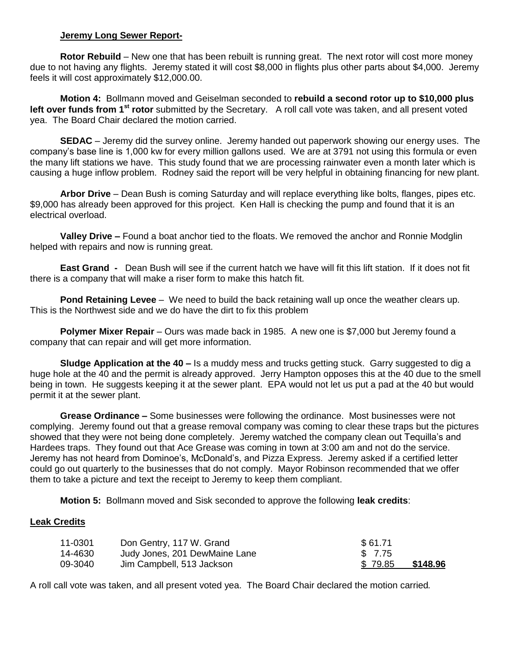#### **Jeremy Long Sewer Report-**

**Rotor Rebuild** – New one that has been rebuilt is running great. The next rotor will cost more money due to not having any flights. Jeremy stated it will cost \$8,000 in flights plus other parts about \$4,000. Jeremy feels it will cost approximately \$12,000.00.

**Motion 4:** Bollmann moved and Geiselman seconded to **rebuild a second rotor up to \$10,000 plus left over funds from 1st rotor** submitted by the Secretary. A roll call vote was taken, and all present voted yea. The Board Chair declared the motion carried.

**SEDAC** – Jeremy did the survey online. Jeremy handed out paperwork showing our energy uses. The company's base line is 1,000 kw for every million gallons used. We are at 3791 not using this formula or even the many lift stations we have. This study found that we are processing rainwater even a month later which is causing a huge inflow problem. Rodney said the report will be very helpful in obtaining financing for new plant.

**Arbor Drive** – Dean Bush is coming Saturday and will replace everything like bolts, flanges, pipes etc. \$9,000 has already been approved for this project. Ken Hall is checking the pump and found that it is an electrical overload.

**Valley Drive –** Found a boat anchor tied to the floats. We removed the anchor and Ronnie Modglin helped with repairs and now is running great.

**East Grand -** Dean Bush will see if the current hatch we have will fit this lift station. If it does not fit there is a company that will make a riser form to make this hatch fit.

**Pond Retaining Levee** – We need to build the back retaining wall up once the weather clears up. This is the Northwest side and we do have the dirt to fix this problem

**Polymer Mixer Repair** – Ours was made back in 1985. A new one is \$7,000 but Jeremy found a company that can repair and will get more information.

**Sludge Application at the 40 –** Is a muddy mess and trucks getting stuck. Garry suggested to dig a huge hole at the 40 and the permit is already approved. Jerry Hampton opposes this at the 40 due to the smell being in town. He suggests keeping it at the sewer plant. EPA would not let us put a pad at the 40 but would permit it at the sewer plant.

**Grease Ordinance –** Some businesses were following the ordinance. Most businesses were not complying. Jeremy found out that a grease removal company was coming to clear these traps but the pictures showed that they were not being done completely. Jeremy watched the company clean out Tequilla's and Hardees traps. They found out that Ace Grease was coming in town at 3:00 am and not do the service. Jeremy has not heard from Dominoe's, McDonald's, and Pizza Express. Jeremy asked if a certified letter could go out quarterly to the businesses that do not comply. Mayor Robinson recommended that we offer them to take a picture and text the receipt to Jeremy to keep them compliant.

**Motion 5:** Bollmann moved and Sisk seconded to approve the following **leak credits**:

## **Leak Credits**

| 11-0301 | Don Gentry, 117 W. Grand      | \$61.71             |
|---------|-------------------------------|---------------------|
| 14-4630 | Judy Jones, 201 DewMaine Lane | \$7.75              |
| 09-3040 | Jim Campbell, 513 Jackson     | \$148.96<br>\$79.85 |

A roll call vote was taken, and all present voted yea. The Board Chair declared the motion carried*.*